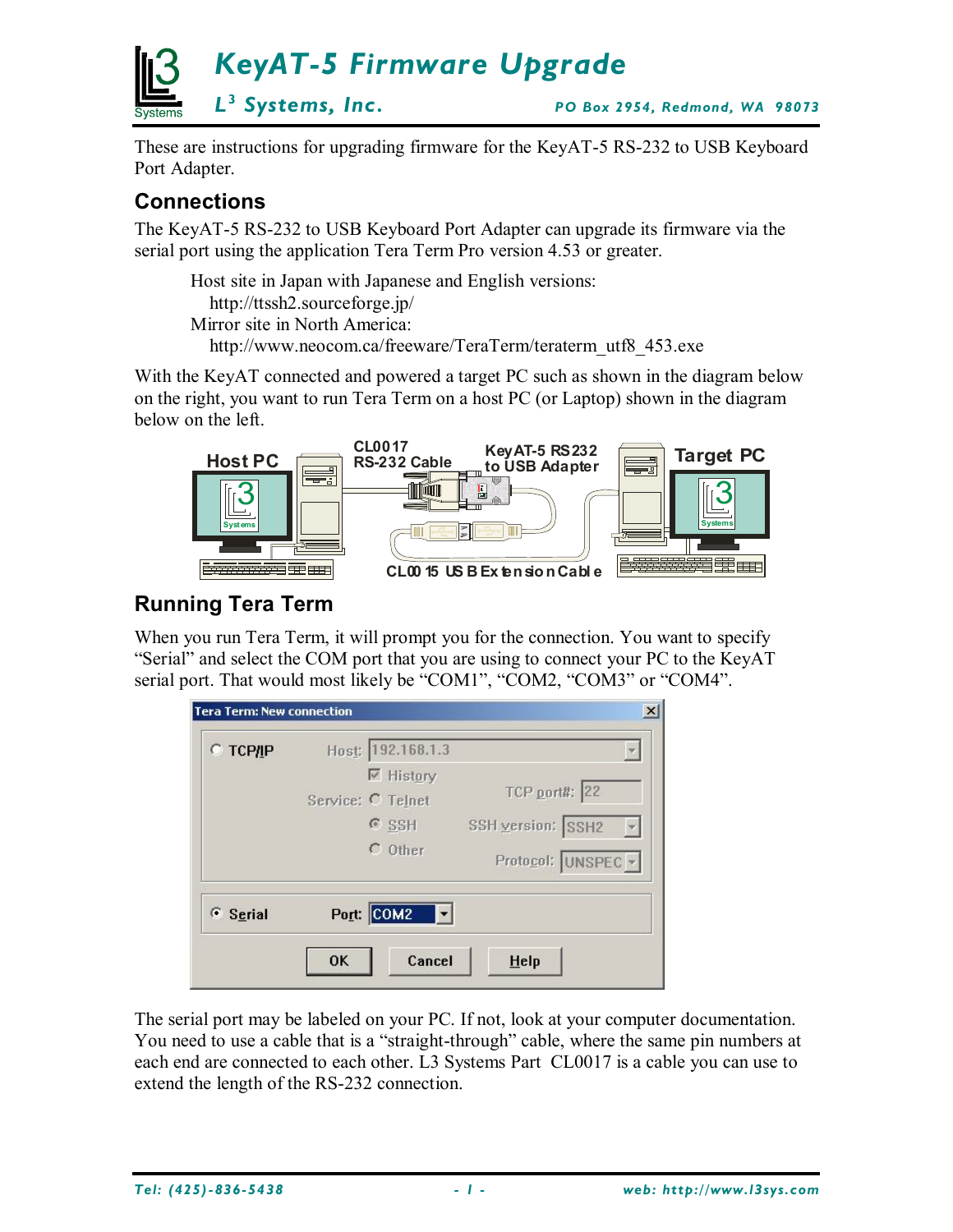

These are instructions for upgrading firmware for the KeyAT-5 RS-232 to USB Keyboard Port Adapter.

## **Connections**

The KeyAT-5 RS-232 to USB Keyboard Port Adapter can upgrade its firmware via the serial port using the application Tera Term Pro version 4.53 or greater.

Host site in Japan with Japanese and English versions: http://ttssh2.sourceforge.jp/ Mirror site in North America:

http://www.neocom.ca/freeware/TeraTerm/teraterm\_utf8\_453.exe

With the KeyAT connected and powered a target PC such as shown in the diagram below on the right, you want to run Tera Term on a host PC (or Laptop) shown in the diagram below on the left.



# **Running Tera Term**

When you run Tera Term, it will prompt you for the connection. You want to specify "Serial" and select the COM port that you are using to connect your PC to the KeyAT serial port. That would most likely be "COM1", "COM2, "COM3" or "COM4".

| $\circ$ TCP/IP | Host: 192.168.1.3 |                      |
|----------------|-------------------|----------------------|
|                | $\nabla$ History  |                      |
|                | Service: C Telnet | <b>TCP port#: 22</b> |
|                | $G$ SSH           | SSH version: SSH2    |
|                | $C$ Other         | Protocol: UNSPEC -   |
| G Serial       | Port: COM2        |                      |

The serial port may be labeled on your PC. If not, look at your computer documentation. You need to use a cable that is a "straight-through" cable, where the same pin numbers at each end are connected to each other. L3 Systems Part CL0017 is a cable you can use to extend the length of the RS-232 connection.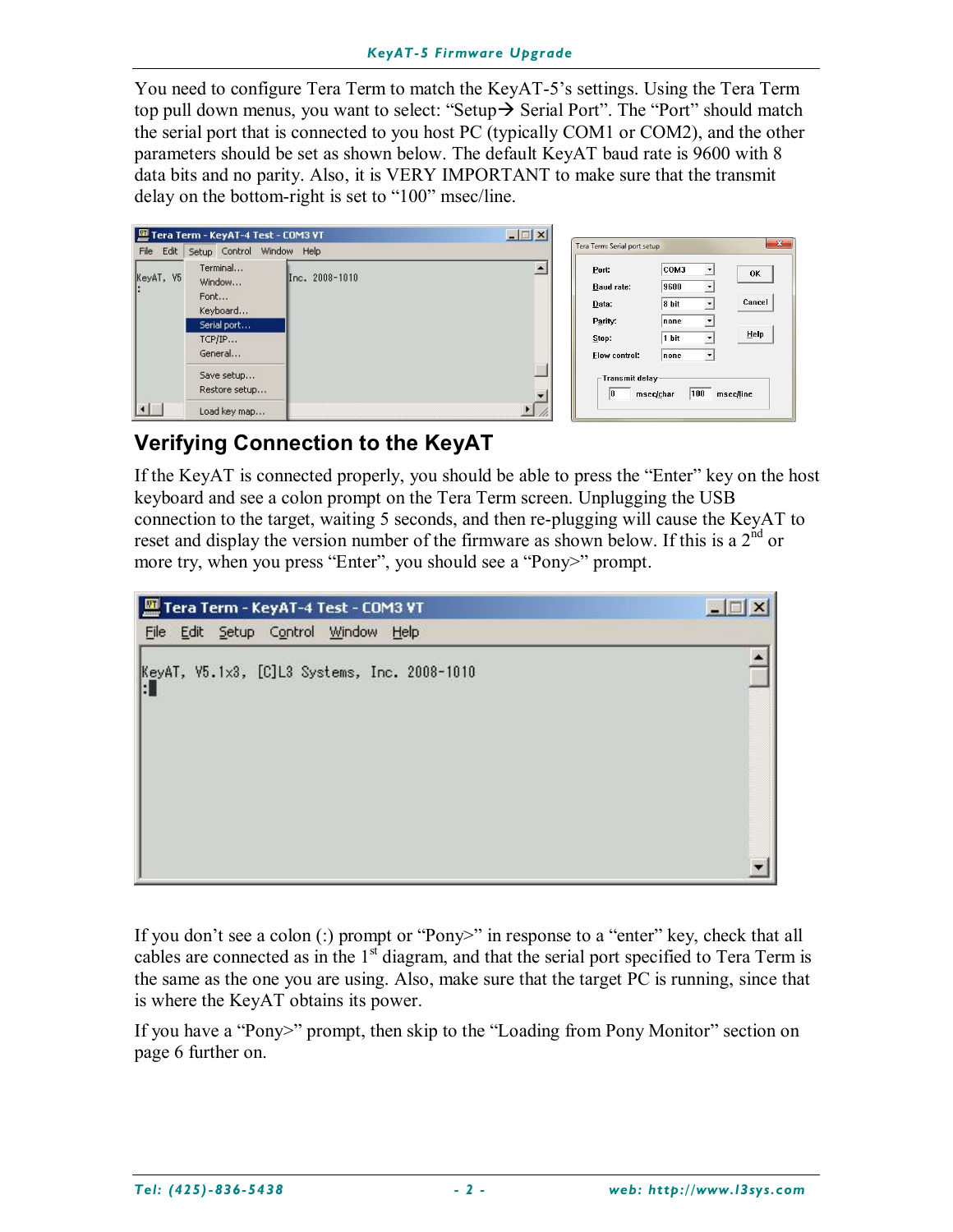You need to configure Tera Term to match the KeyAT-5's settings. Using the Tera Term top pull down menus, you want to select: "Setup $\rightarrow$  Serial Port". The "Port" should match the serial port that is connected to you host PC (typically COM1 or COM2), and the other parameters should be set as shown below. The default KeyAT baud rate is 9600 with 8 data bits and no parity. Also, it is VERY IMPORTANT to make sure that the transmit delay on the bottom-right is set to "100" msec/line.

|           | Tera Term - KeyAT-4 Test - COM3 VT                                         |                | $  $ $\blacksquare$ $ $ $\times$ |                                                                   |                                                                                                                                                                |                      |
|-----------|----------------------------------------------------------------------------|----------------|----------------------------------|-------------------------------------------------------------------|----------------------------------------------------------------------------------------------------------------------------------------------------------------|----------------------|
| File Edit | Setup Control Window Help                                                  |                |                                  | Tera Term: Serial port setup                                      |                                                                                                                                                                |                      |
| KeyAT, V5 | Terminal<br>Window<br>Font<br>Keyboard<br>Serial port<br>TCP/IP<br>General | Inc. 2008-1010 |                                  | Port:<br>Baud rate:<br>Data:<br>Parity:<br>Stop:<br>Flow control: | COM3<br>$\vert \cdot \vert$<br>9600<br>$\blacktriangledown$<br>8 bit<br>$\mathbf{v}$<br>none<br>$\overline{\phantom{a}}$<br>1 bit<br>$\mathbf{r}$<br>none<br>▾ | OK<br>Cancel<br>Help |
|           | Save setup<br>Restore setup<br>Load key map                                |                |                                  | -Transmit delay-<br>10                                            | 100<br>msec/char                                                                                                                                               | msec/line            |

# **Verifying Connection to the KeyAT**

If the KeyAT is connected properly, you should be able to press the "Enter" key on the host keyboard and see a colon prompt on the Tera Term screen. Unplugging the USB connection to the target, waiting 5 seconds, and then re-plugging will cause the KeyAT to reset and display the version number of the firmware as shown below. If this is a  $2<sup>nd</sup>$  or more try, when you press "Enter", you should see a "Pony>" prompt.



If you don't see a colon (:) prompt or "Pony>" in response to a "enter" key, check that all cables are connected as in the 1<sup>st</sup> diagram, and that the serial port specified to Tera Term is the same as the one you are using. Also, make sure that the target PC is running, since that is where the KeyAT obtains its power.

If you have a "Pony>" prompt, then skip to the "Loading from Pony Monitor" section on page 6 further on.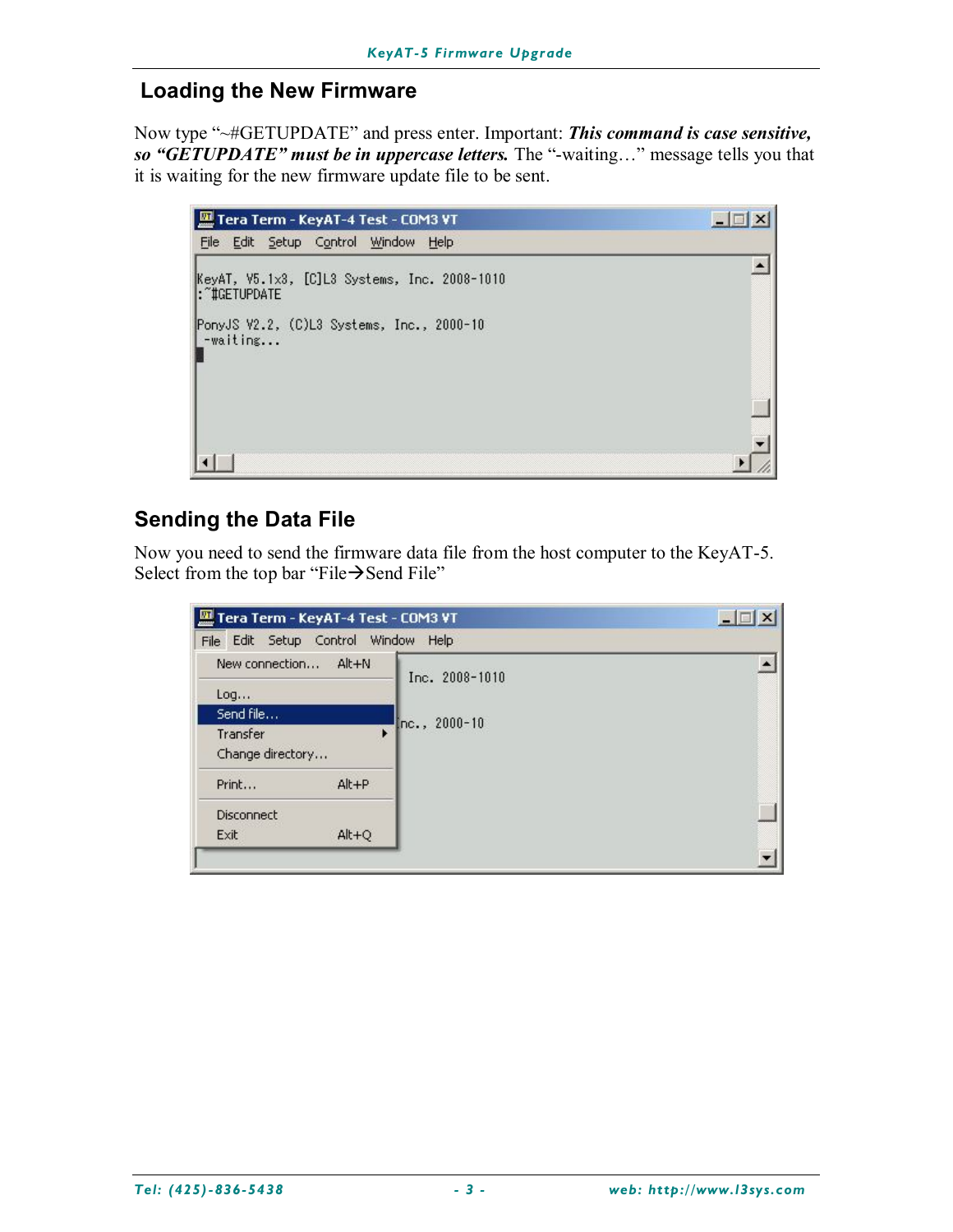#### **Loading the New Firmware**

Now type "~#GETUPDATE" and press enter. Important: *This command is case sensitive, so "GETUPDATE" must be in uppercase letters.* The "-waiting…" message tells you that it is waiting for the new firmware update file to be sent.

| Tera Term - KeyAT-4 Test - COM3 VT                             |  |
|----------------------------------------------------------------|--|
| File Edit Setup Control Window<br>Help                         |  |
| KeyAT, V5.1x3, [C]L3 Systems, Inc. 2008-1010<br>: "#GETUPDATE" |  |
| PonyJS V2.2, (C)L3 Systems, Inc., 2000-10<br>-waiting          |  |
|                                                                |  |
|                                                                |  |

### **Sending the Data File**

Now you need to send the firmware data file from the host computer to the KeyAT-5. Select from the top bar "File $\rightarrow$ Send File"

| Tera Term - KeyAT-4 Test - COM3 VT  |           | $ \Box$ $\times$ |  |
|-------------------------------------|-----------|------------------|--|
| File Edit Setup Control Window Help |           |                  |  |
| New connection                      | $Alt + N$ | Inc. 2008-1010   |  |
| Log                                 |           |                  |  |
| Send file                           |           | $Inc., 2000-10$  |  |
| Transfer                            | ٠         |                  |  |
| Change directory                    |           |                  |  |
| Print                               | $Alt + P$ |                  |  |
| Disconnect                          |           |                  |  |
| Exit                                | $Alt + Q$ |                  |  |
|                                     |           |                  |  |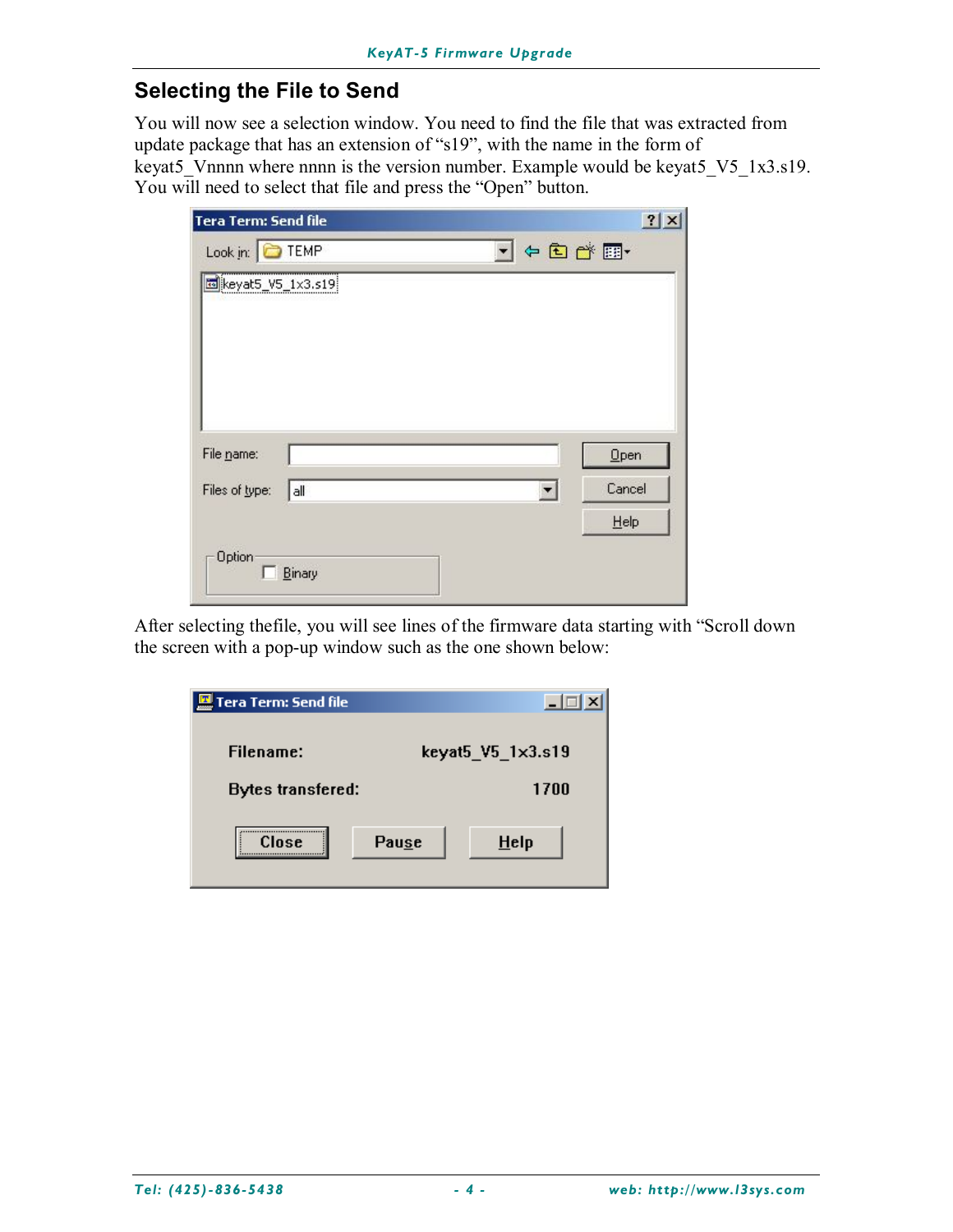#### **Selecting the File to Send**

You will now see a selection window. You need to find the file that was extracted from update package that has an extension of "s19", with the name in the form of keyat5<sup>V</sup>nnnn where nnnn is the version number. Example would be keyat5 V5 1x3.s19. You will need to select that file and press the "Open" button.

| <b>Tera Term: Send file</b> |                      | 2x          |
|-----------------------------|----------------------|-------------|
| Look in: TEMP               |                      | J ← @ o* pr |
| beyat5_V5_1x3.s19           |                      |             |
|                             |                      |             |
| File name:                  |                      | Open        |
| Files of type:<br>all       | $\blacktriangledown$ | Cancel      |
|                             |                      | Help        |
| Option<br>Binary            |                      |             |

After selecting thefile, you will see lines of the firmware data starting with "Scroll down the screen with a pop-up window such as the one shown below:

| Tera Term: Send file     |       |                   |
|--------------------------|-------|-------------------|
| Filename:                |       | keyat5_V5_1x3.s19 |
| <b>Bytes transfered:</b> |       | 1700              |
| <br>Close                | Pause | Help              |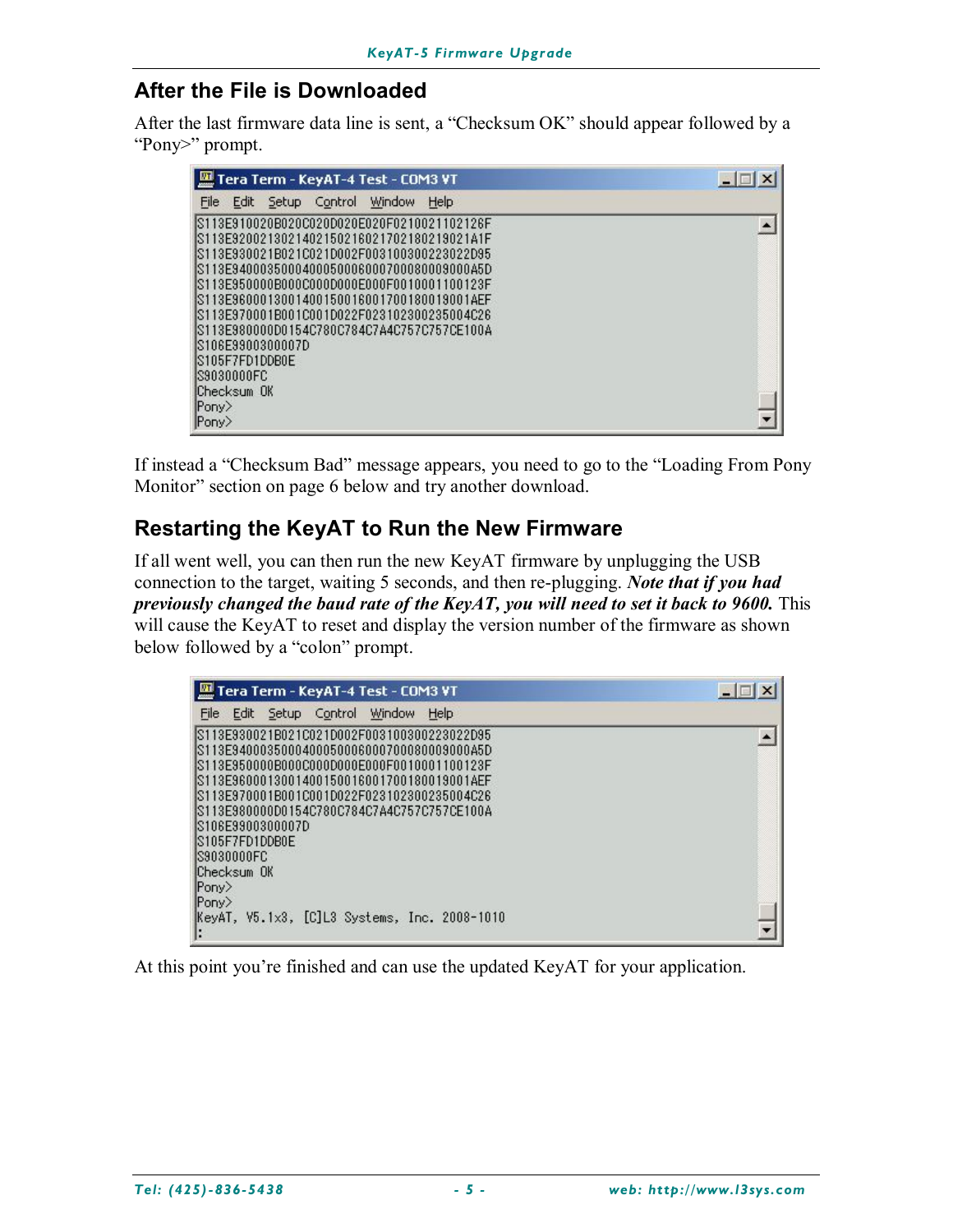#### **After the File is Downloaded**

After the last firmware data line is sent, a "Checksum OK" should appear followed by a "Pony>" prompt.

| Tera Term - KeyAT-4 Test - COM3 VT                                                                                                                                                                                                                                                                                                                                                                                          | $ \Box$ |
|-----------------------------------------------------------------------------------------------------------------------------------------------------------------------------------------------------------------------------------------------------------------------------------------------------------------------------------------------------------------------------------------------------------------------------|---------|
| Control<br>Window<br>Help<br>File<br>Edit<br><b>Setup</b>                                                                                                                                                                                                                                                                                                                                                                   |         |
| IS113E910020B020C020D020E020F0210021102126F<br>IS113E9200213021402150216021702180219021A1F<br>IS113E930021B021C021D002F003100300223022D95<br>IS113E9400035000400050006000700080009000A5D<br>IS113E950000B000C000D000E000F0010001100123F<br>IS113E9600013001400150016001700180019001AEF<br>IS113E970001B001C001D022F023102300235004C26<br>IS113E980000D0154C780C784C7A4C757C757CE100A<br>IS106E9900300007D<br>S105F7FD1DDB0E |         |
| IS9030000FC<br>Checksum OK<br>Pony><br>Pony>                                                                                                                                                                                                                                                                                                                                                                                |         |

If instead a "Checksum Bad" message appears, you need to go to the "Loading From Pony Monitor" section on page 6 below and try another download.

### **Restarting the KeyAT to Run the New Firmware**

If all went well, you can then run the new KeyAT firmware by unplugging the USB connection to the target, waiting 5 seconds, and then re-plugging. *Note that if you had previously changed the baud rate of the KeyAT, you will need to set it back to 9600.* This will cause the KeyAT to reset and display the version number of the firmware as shown below followed by a "colon" prompt.

| Tera Term - KeyAT-4 Test - COM3 VT                                                                                                                                                                                                                                                                                                                                            |  |
|-------------------------------------------------------------------------------------------------------------------------------------------------------------------------------------------------------------------------------------------------------------------------------------------------------------------------------------------------------------------------------|--|
| Edit Setup Control Window<br>Help<br>File                                                                                                                                                                                                                                                                                                                                     |  |
| IS113E930021B021C021D002F003100300223022D95<br>IS113E9400035000400050006000700080009000A5D<br>IS113E950000B000C000D000E000F0010001100123F<br>IS113E9600013001400150016001700180019001AEF<br>IS113E970001B001C001D022F023102300235004C26<br>IS113E980000D0154C780C784C7A4C757C757CE100A<br>S106E9900300007D<br>IS105F7FD1DDB0E<br>IS9030000FC<br>Checksum OK<br>$ Pony\rangle$ |  |
| Pony<br>KeyAT, V5.1x3, [C]L3 Systems, Inc. 2008-1010                                                                                                                                                                                                                                                                                                                          |  |

At this point you're finished and can use the updated KeyAT for your application.